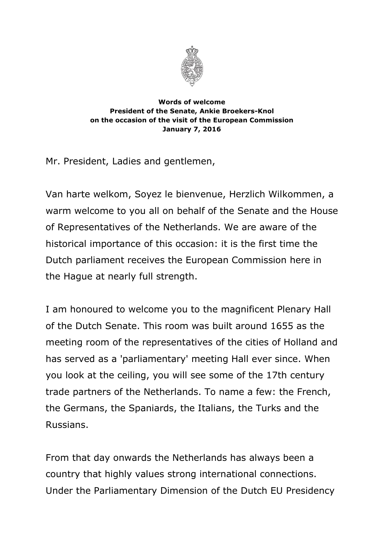

## **Words of welcome President of the Senate, Ankie Broekers-Knol on the occasion of the visit of the European Commission January 7, 2016**

Mr. President, Ladies and gentlemen,

Van harte welkom, Soyez le bienvenue, Herzlich Wilkommen, a warm welcome to you all on behalf of the Senate and the House of Representatives of the Netherlands. We are aware of the historical importance of this occasion: it is the first time the Dutch parliament receives the European Commission here in the Hague at nearly full strength.

I am honoured to welcome you to the magnificent Plenary Hall of the Dutch Senate. This room was built around 1655 as the meeting room of the representatives of the cities of Holland and has served as a 'parliamentary' meeting Hall ever since. When you look at the ceiling, you will see some of the 17th century trade partners of the Netherlands. To name a few: the French, the Germans, the Spaniards, the Italians, the Turks and the Russians.

From that day onwards the Netherlands has always been a country that highly values strong international connections. Under the Parliamentary Dimension of the Dutch EU Presidency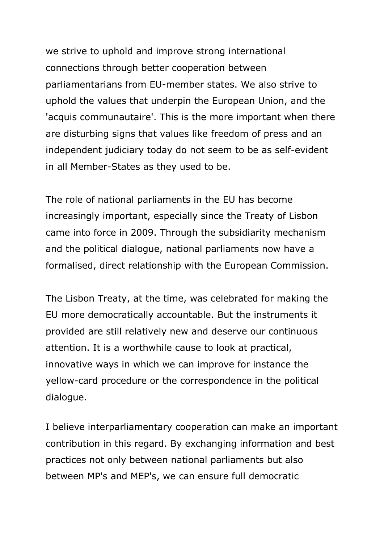we strive to uphold and improve strong international connections through better cooperation between parliamentarians from EU-member states. We also strive to uphold the values that underpin the European Union, and the 'acquis communautaire'. This is the more important when there are disturbing signs that values like freedom of press and an independent judiciary today do not seem to be as self-evident in all Member-States as they used to be.

The role of national parliaments in the EU has become increasingly important, especially since the Treaty of Lisbon came into force in 2009. Through the subsidiarity mechanism and the political dialogue, national parliaments now have a formalised, direct relationship with the European Commission.

The Lisbon Treaty, at the time, was celebrated for making the EU more democratically accountable. But the instruments it provided are still relatively new and deserve our continuous attention. It is a worthwhile cause to look at practical, innovative ways in which we can improve for instance the yellow-card procedure or the correspondence in the political dialogue.

I believe interparliamentary cooperation can make an important contribution in this regard. By exchanging information and best practices not only between national parliaments but also between MP's and MEP's, we can ensure full democratic